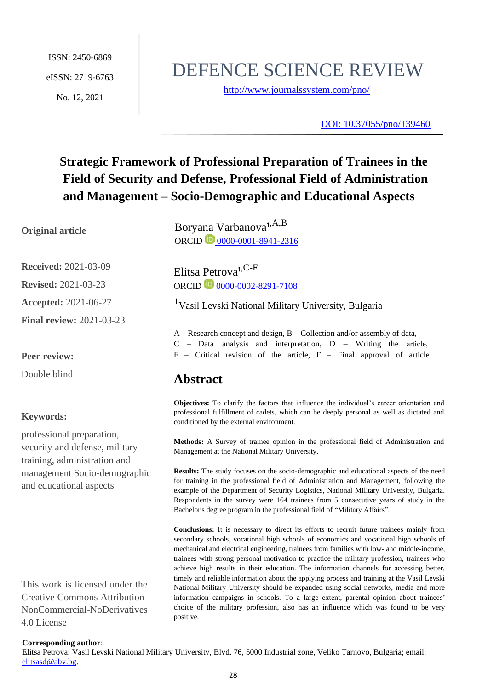ISSN: 2450-6869 eISSN: 2719-6763 No. 12, 2021

# DEFENCE SCIENCE REVIEW

<http://www.journalssystem.com/pno/>

[DOI: 10.37055/pno/139460](https://doi.org/10.37055/pno/139460)

## **Strategic Framework of Professional Preparation of Trainees in the Field of Security and Defense, Professional Field of Administration and Management – Socio-Demographic and Educational Aspects**

#### **Original article**

**Received:** 2021-03-09 **Revised:** 2021-03-23 **Accepted:** 2021-06-27

**Final review:** 2021-03-23

#### **Peer review:**

Double blind

#### **Keywords:**

professional preparation, security and defense, military training, administration and management Socio-demographic and educational aspects

This work is licensed under the Creative Commons Attribution-NonCommercial-NoDerivatives 4.0 License

Boryana Varbanova<sup>1,A,B</sup> ORCID **10** [0000-0001-8941-2316](https://orcid.org/0000-0001-8941-2316)

Elitsa Petrova<sup>1,C-F</sup> ORCID 10 [0000-0002-8291-7108](https://orcid.org/0000-0002-8291-7108)

<sup>1</sup>Vasil Levski National Military University, Bulgaria

A – Research concept and design, B – Collection and/or assembly of data,

- C Data analysis and interpretation, D Writing the article,
- $E$  Critical revision of the article,  $F$  Final approval of article

## **Abstract**

**Objectives:** To clarify the factors that influence the individual's career orientation and professional fulfillment of cadets, which can be deeply personal as well as dictated and conditioned by the external environment.

**Methods:** A Survey of trainee opinion in the professional field of Administration and Management at the National Military University.

**Results:** The study focuses on the socio-demographic and educational aspects of the need for training in the professional field of Administration and Management, following the example of the Department of Security Logistics, National Military University, Bulgaria. Respondents in the survey were 164 trainees from 5 consecutive years of study in the Bachelor's degree program in the professional field of "Military Affairs".

**Conclusions:** It is necessary to direct its efforts to recruit future trainees mainly from secondary schools, vocational high schools of economics and vocational high schools of mechanical and electrical engineering, trainees from families with low- and middle-income, trainees with strong personal motivation to practice the military profession, trainees who achieve high results in their education. The information channels for accessing better, timely and reliable information about the applying process and training at the Vasil Levski National Military University should be expanded using social networks, media and more information campaigns in schools. To a large extent, parental opinion about trainees' choice of the military profession, also has an influence which was found to be very positive.

#### **Corresponding author**:

Elitsa Petrova: Vasil Levski National Military University, Blvd. 76, 5000 Industrial zone, Veliko Tarnovo, Bulgaria; email: [elitsasd@abv.bg.](../../../../../../AppData/Downloads/elitsasd@abv.bg)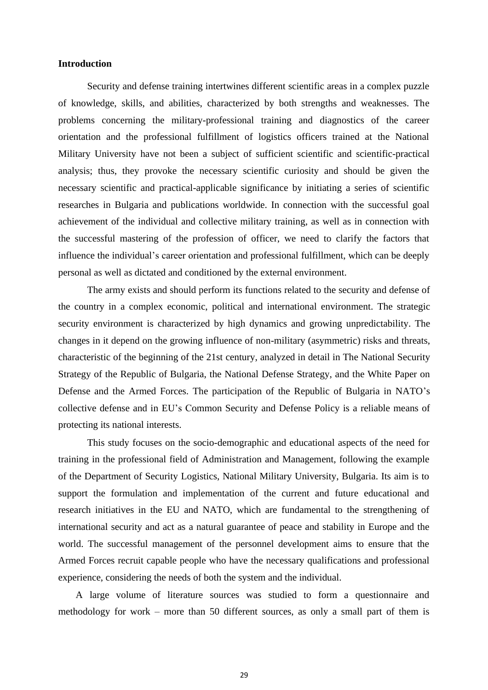#### **Introduction**

Security and defense training intertwines different scientific areas in a complex puzzle of knowledge, skills, and abilities, characterized by both strengths and weaknesses. The problems concerning the military-professional training and diagnostics of the career orientation and the professional fulfillment of logistics officers trained at the National Military University have not been a subject of sufficient scientific and scientific-practical analysis; thus, they provoke the necessary scientific curiosity and should be given the necessary scientific and practical-applicable significance by initiating a series of scientific researches in Bulgaria and publications worldwide. In connection with the successful goal achievement of the individual and collective military training, as well as in connection with the successful mastering of the profession of officer, we need to clarify the factors that influence the individual's career orientation and professional fulfillment, which can be deeply personal as well as dictated and conditioned by the external environment.

The army exists and should perform its functions related to the security and defense of the country in a complex economic, political and international environment. The strategic security environment is characterized by high dynamics and growing unpredictability. The changes in it depend on the growing influence of non-military (asymmetric) risks and threats, characteristic of the beginning of the 21st century, analyzed in detail in The National Security Strategy of the Republic of Bulgaria, the National Defense Strategy, and the White Paper on Defense and the Armed Forces. The participation of the Republic of Bulgaria in NATO's collective defense and in EU's Common Security and Defense Policy is a reliable means of protecting its national interests.

This study focuses on the socio-demographic and educational aspects of the need for training in the professional field of Administration and Management, following the example of the Department of Security Logistics, National Military University, Bulgaria. Its aim is to support the formulation and implementation of the current and future educational and research initiatives in the EU and NATO, which are fundamental to the strengthening of international security and act as a natural guarantee of peace and stability in Europe and the world. The successful management of the personnel development aims to ensure that the Armed Forces recruit capable people who have the necessary qualifications and professional experience, considering the needs of both the system and the individual.

A large volume of literature sources was studied to form a questionnaire and methodology for work – more than 50 different sources, as only a small part of them is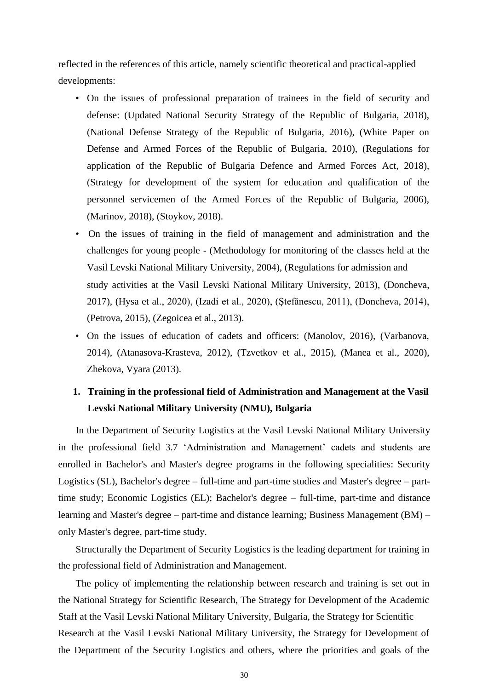reflected in the references of this article, namely scientific theoretical and practical-applied developments:

- On the issues of professional preparation of trainees in the field of security and defense: (Updated National Security Strategy of the Republic of Bulgaria, 2018), (National Defense Strategy of the Republic of Bulgaria, 2016), (White Paper on Defense and Armed Forces of the Republic of Bulgaria, 2010), (Regulations for application of the Republic of Bulgaria Defence and Armed Forces Act, 2018), (Strategy for development of the system for education and qualification of the personnel servicemen of the Armed Forces of the Republic of Bulgaria, 2006), (Marinov, 2018), (Stoykov, 2018).
- On the issues of training in the field of management and administration and the challenges for young people - (Methodology for monitoring of the classes held at the Vasil Levski National Military University, 2004), (Regulations for admission and study activities at the Vasil Levski National Military University, 2013), (Doncheva, 2017), (Hysa et al., 2020), (Izadi et al., 2020), (Ştefănescu, 2011), (Doncheva, 2014), (Petrova, 2015), (Zegoicea et al., 2013).
- On the issues of education of cadets and officers: (Manolov, 2016), (Varbanova, 2014), (Atanasova-Krasteva, 2012), (Tzvetkov et al., 2015), (Manea et al., 2020), Zhekova, Vyara (2013).

## **1. Training in the professional field of Administration and Management at the Vasil Levski National Military University (NMU), Bulgaria**

In the Department of Security Logistics at the Vasil Levski National Military University in the professional field 3.7 'Administration and Management' cadets and students are enrolled in Bachelor's and Master's degree programs in the following specialities: Security Logistics (SL), Bachelor's degree – full-time and part-time studies and Master's degree – parttime study; Economic Logistics (EL); Bachelor's degree – full-time, part-time and distance learning and Master's degree – part-time and distance learning; Business Management (BM) – only Master's degree, part-time study.

Structurally the Department of Security Logistics is the leading department for training in the professional field of Administration and Management.

The policy of implementing the relationship between research and training is set out in the National Strategy for Scientific Research, The Strategy for Development of the Academic Staff at the Vasil Levski National Military University, Bulgaria, the Strategy for Scientific Research at the Vasil Levski National Military University, the Strategy for Development of the Department of the Security Logistics and others, where the priorities and goals of the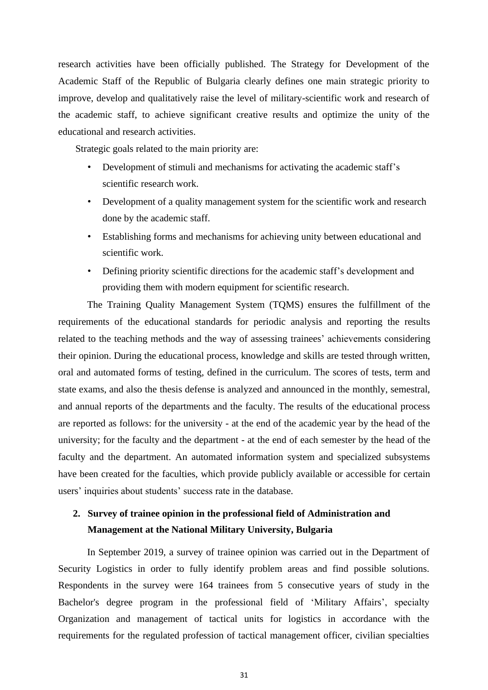research activities have been officially published. The Strategy for Development of the Academic Staff of the Republic of Bulgaria clearly defines one main strategic priority to improve, develop and qualitatively raise the level of military-scientific work and research of the academic staff, to achieve significant creative results and optimize the unity of the educational and research activities.

Strategic goals related to the main priority are:

- Development of stimuli and mechanisms for activating the academic staff's scientific research work.
- Development of a quality management system for the scientific work and research done by the academic staff.
- Establishing forms and mechanisms for achieving unity between educational and scientific work.
- Defining priority scientific directions for the academic staff's development and providing them with modern equipment for scientific research.

The Training Quality Management System (TQMS) ensures the fulfillment of the requirements of the educational standards for periodic analysis and reporting the results related to the teaching methods and the way of assessing trainees' achievements considering their opinion. During the educational process, knowledge and skills are tested through written, oral and automated forms of testing, defined in the curriculum. The scores of tests, term and state exams, and also the thesis defense is analyzed and announced in the monthly, semestral, and annual reports of the departments and the faculty. The results of the educational process are reported as follows: for the university - at the end of the academic year by the head of the university; for the faculty and the department - at the end of each semester by the head of the faculty and the department. An automated information system and specialized subsystems have been created for the faculties, which provide publicly available or accessible for certain users' inquiries about students' success rate in the database.

### **2. Survey of trainee opinion in the professional field of Administration and Management at the National Military University, Bulgaria**

In September 2019, a survey of trainee opinion was carried out in the Department of Security Logistics in order to fully identify problem areas and find possible solutions. Respondents in the survey were 164 trainees from 5 consecutive years of study in the Bachelor's degree program in the professional field of 'Military Affairs', specialty Organization and management of tactical units for logistics in accordance with the requirements for the regulated profession of tactical management officer, civilian specialties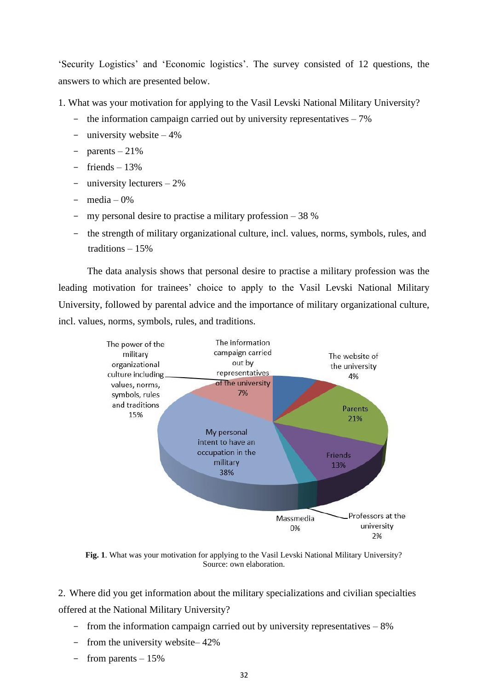'Security Logistics' and 'Economic logistics'. The survey consisted of 12 questions, the answers to which are presented below.

1. What was your motivation for applying to the Vasil Levski National Military University?

- the information campaign carried out by university representatives  $-7\%$
- university website 4%
- $-$  parents  $-21\%$
- friends 13%
- university lecturers 2%
- $\text{media} 0\%$
- my personal desire to practise a military profession  $-38\%$
- the strength of military organizational culture, incl. values, norms, symbols, rules, and traditions – 15%

The data analysis shows that personal desire to practise a military profession was the leading motivation for trainees' choice to apply to the Vasil Levski National Military University, followed by parental advice and the importance of military organizational culture, incl. values, norms, symbols, rules, and traditions.



**Fig. 1**. What was your motivation for applying to the Vasil Levski National Military University? Source: own elaboration.

2. Where did you get information about the military specializations and civilian specialties offered at the National Military University?

- from the information campaign carried out by university representatives 8%
- from the university website– 42%
- from parents 15%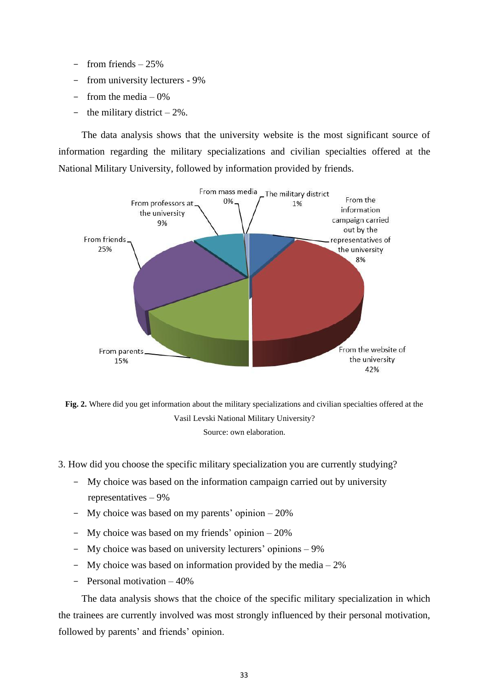- from friends 25%
- from university lecturers 9%
- from the media  $-0\%$
- the military district  $-2\%$ .

The data analysis shows that the university website is the most significant source of information regarding the military specializations and civilian specialties offered at the National Military University, followed by information provided by friends.



**Fig. 2.** Where did you get information about the military specializations and civilian specialties offered at the Vasil Levski National Military University? Source: own elaboration.

3. How did you choose the specific military specialization you are currently studying?

- My choice was based on the information campaign carried out by university representatives – 9%
- My choice was based on my parents' opinion 20%
- My choice was based on my friends' opinion 20%
- My choice was based on university lecturers' opinions 9%
- My choice was based on information provided by the media  $-2\%$
- Personal motivation 40%

The data analysis shows that the choice of the specific military specialization in which the trainees are currently involved was most strongly influenced by their personal motivation, followed by parents' and friends' opinion.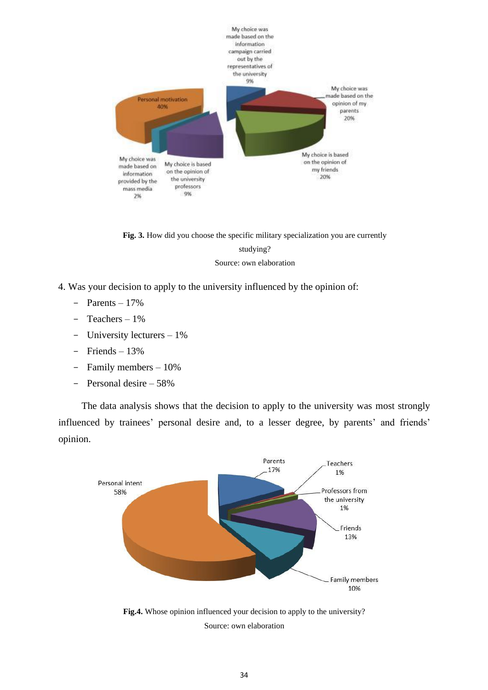

**Fig. 3.** How did you choose the specific military specialization you are currently studying?

Source: own elaboration

- 4. Was your decision to apply to the university influenced by the opinion of:
	- Рarents 17%
	- Teachers 1%
	- University lecturers 1%
	- Friends 13%
	- Family members 10%
	- Personal desire 58%

The data analysis shows that the decision to apply to the university was most strongly influenced by trainees' personal desire and, to a lesser degree, by parents' and friends' opinion.



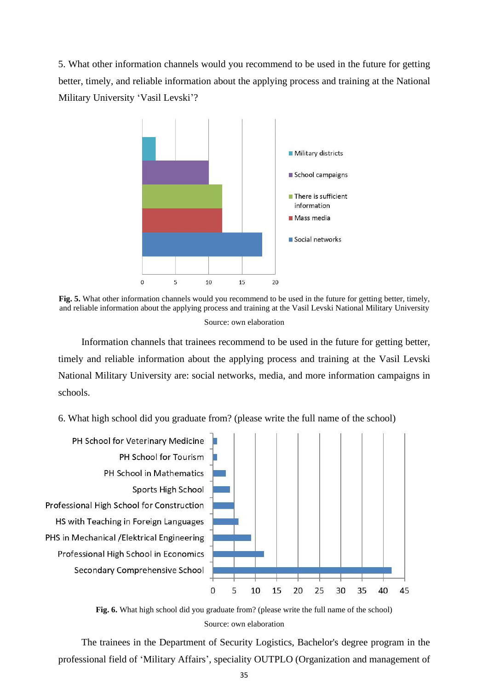5. What other information channels would you recommend to be used in the future for getting better, timely, and reliable information about the applying process and training at the National Military University 'Vasil Levski'?



**Fig. 5.** What other information channels would you recommend to be used in the future for getting better, timely, and reliable information about the applying process and training at the Vasil Levski National Military University Source: own elaboration

Information channels that trainees recommend to be used in the future for getting better, timely and reliable information about the applying process and training at the Vasil Levski National Military University are: social networks, media, and more information campaigns in schools.

#### 6. What high school did you graduate from? (please write the full name of the school)





The trainees in the Department of Security Logistics, Bachelor's degree program in the professional field of 'Military Affairs', speciality OUTPLO (Organization and management of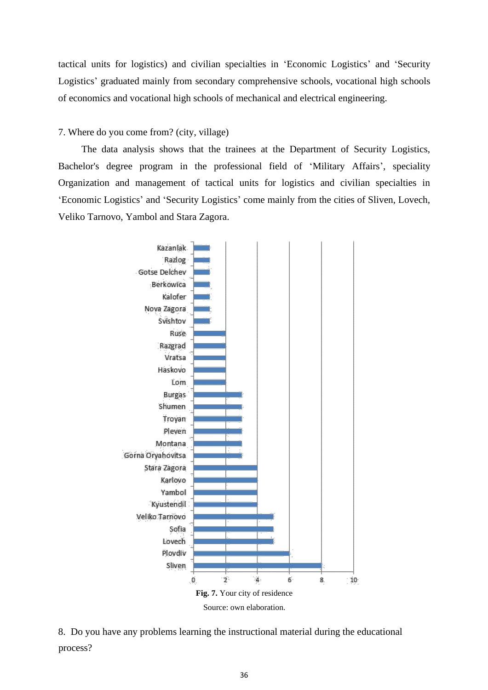tactical units for logistics) and civilian specialties in 'Economic Logistics' and 'Security Logistics' graduated mainly from secondary comprehensive schools, vocational high schools of economics and vocational high schools of mechanical and electrical engineering.

7. Where do you come from? (city, village)

The data analysis shows that the trainees at the Department of Security Logistics, Bachelor's degree program in the professional field of 'Military Affairs', speciality Organization and management of tactical units for logistics and civilian specialties in 'Economic Logistics' and 'Security Logistics' come mainly from the cities of Sliven, Lovech, Veliko Tarnovo, Yambol and Stara Zagora.



8. Do you have any problems learning the instructional material during the educational process?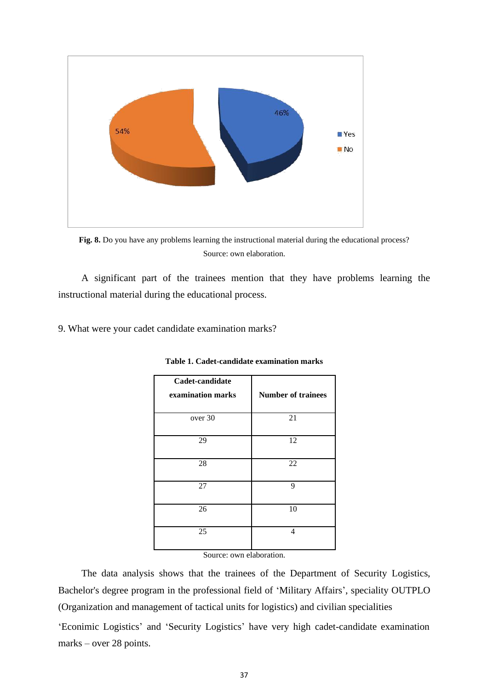

**Fig. 8.** Do you have any problems learning the instructional material during the educational process? Source: own elaboration.

A significant part of the trainees mention that they have problems learning the instructional material during the educational process.

9. What were your cadet candidate examination marks?

| Cadet-candidate<br>examination marks | <b>Number of trainees</b> |
|--------------------------------------|---------------------------|
| over 30                              | 21                        |
| 29                                   | 12                        |
| 28                                   | 22                        |
| 27                                   | 9                         |
| 26                                   | 10                        |
| 25                                   | 4                         |

**Table 1. Cadet-candidate examination marks**

Source: own elaboration.

The data analysis shows that the trainees of the Department of Security Logistics, Bachelor's degree program in the professional field of 'Military Affairs', speciality OUTPLO (Organization and management of tactical units for logistics) and civilian specialities

'Econimic Logistics' and 'Security Logistics' have very high cadet-candidate examination marks – over 28 points.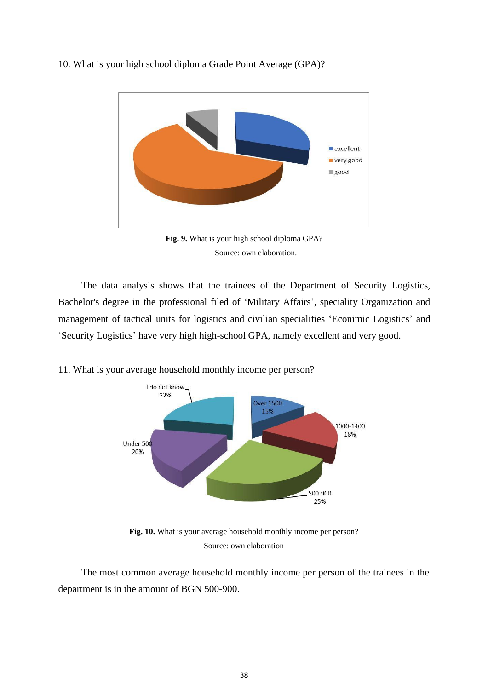



Source: own elaboration.

The data analysis shows that the trainees of the Department of Security Logistics, Bachelor's degree in the professional filed of 'Military Affairs', speciality Organization and management of tactical units for logistics and civilian specialities 'Econimic Logistics' and 'Security Logistics' have very high high-school GPA, namely excellent and very good.



11. What is your average household monthly income per person?

**Fig. 10.** What is your average household monthly income per person? Source: own elaboration

The most common average household monthly income per person of the trainees in the department is in the amount of BGN 500-900.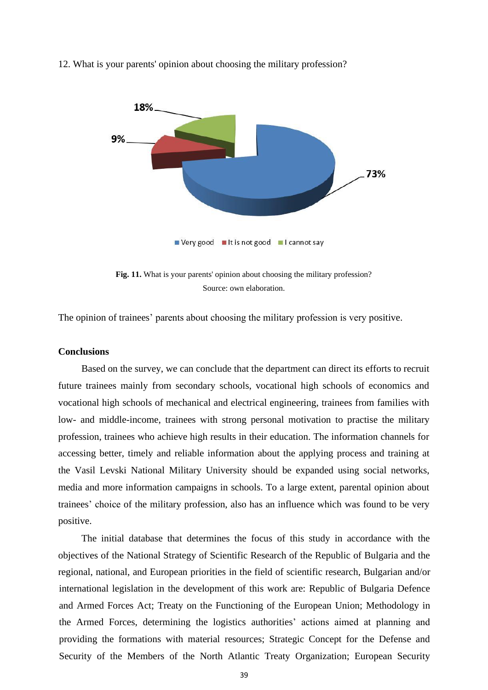

12. What is your parents' opinion about choosing the military profession?

Fig. 11. What is your parents' opinion about choosing the military profession? Source: own elaboration.

The opinion of trainees' parents about choosing the military profession is very positive.

#### **Conclusions**

Based on the survey, we can conclude that the department can direct its efforts to recruit future trainees mainly from secondary schools, vocational high schools of economics and vocational high schools of mechanical and electrical engineering, trainees from families with low- and middle-income, trainees with strong personal motivation to practise the military profession, trainees who achieve high results in their education. The information channels for accessing better, timely and reliable information about the applying process and training at the Vasil Levski National Military University should be expanded using social networks, media and more information campaigns in schools. To a large extent, parental opinion about trainees' choice of the military profession, also has an influence which was found to be very positive.

The initial database that determines the focus of this study in accordance with the objectives of the National Strategy of Scientific Research of the Republic of Bulgaria and the regional, national, and European priorities in the field of scientific research, Bulgarian and/or international legislation in the development of this work are: Republic of Bulgaria Defence and Armed Forces Act; Treaty on the Functioning of the European Union; Methodology in the Armed Forces, determining the logistics authorities' actions aimed at planning and providing the formations with material resources; Strategic Concept for the Defense and Security of the Members of the North Atlantic Treaty Organization; European Security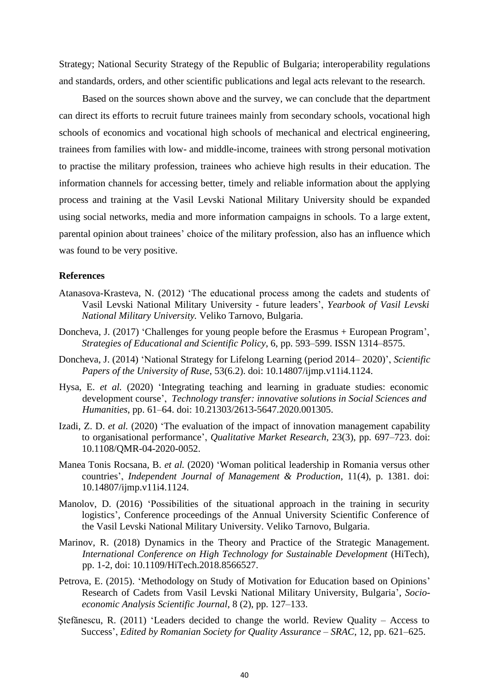Strategy; National Security Strategy of the Republic of Bulgaria; interoperability regulations and standards, orders, and other scientific publications and legal acts relevant to the research.

Based on the sources shown above and the survey, we can conclude that the department can direct its efforts to recruit future trainees mainly from secondary schools, vocational high schools of economics and vocational high schools of mechanical and electrical engineering, trainees from families with low- and middle-income, trainees with strong personal motivation to practise the military profession, trainees who achieve high results in their education. The information channels for accessing better, timely and reliable information about the applying process and training at the Vasil Levski National Military University should be expanded using social networks, media and more information campaigns in schools. To a large extent, parental opinion about trainees' choice of the military profession, also has an influence which was found to be very positive.

#### **References**

- Atanasova-Krasteva, N. (2012) 'The educational process among the cadets and students of Vasil Levski National Military University - future leaders', *Yearbook of Vasil Levski National Military University.* Veliko Tarnovo, Bulgaria.
- Doncheva, J. (2017) 'Challenges for young people before the Erasmus + European Program', *Strategies of Educational and Scientific Policy*, 6, pp. 593–599. ISSN 1314–8575.
- Doncheva, J. (2014) 'National Strategy for Lifelong Learning (period 2014– 2020)', *Scientific Papers of the University of Ruse*, 53(6.2). doi: 10.14807/ijmp.v11i4.1124.
- Hysa, E. *et al.* (2020) 'Integrating teaching and learning in graduate studies: economic development course', *Technology transfer: innovative solutions in Social Sciences and Humanities*, pp. 61–64. doi: 10.21303/2613-5647.2020.001305.
- Izadi, Z. D. *et al.* (2020) 'The evaluation of the impact of innovation management capability to organisational performance', *Qualitative Market Research*, 23(3), pp. 697–723. doi: 10.1108/QMR-04-2020-0052.
- Manea Tonis Rocsana, B. *et al.* (2020) 'Woman political leadership in Romania versus other countries', *Independent Journal of Management & Production*, 11(4), p. 1381. doi: 10.14807/ijmp.v11i4.1124.
- Manolov, D. (2016) 'Possibilities of the situational approach in the training in security logistics', Conference proceedings of the Annual University Scientific Conference of the Vasil Levski National Military University. Veliko Tarnovo, Bulgaria.
- Marinov, R. (2018) Dynamics in the Theory and Practice of the Strategic Management. *International Conference on High Technology for Sustainable Development* (HiTech), pp. 1-2, doi: 10.1109/HiTech.2018.8566527.
- Petrova, E. (2015). 'Methodology on Study of Motivation for Education based on Opinions' Research of Cadets from Vasil Levski National Military University, Bulgaria', *Socioeconomic Analysis Scientific Journal*, 8 (2), pp. 127–133.
- Stefănescu, R. (2011) 'Leaders decided to change the world. Review Ouality Access to Success', *Edited by Romanian Society for Quality Assurance – SRAC*, 12, pp. 621–625.